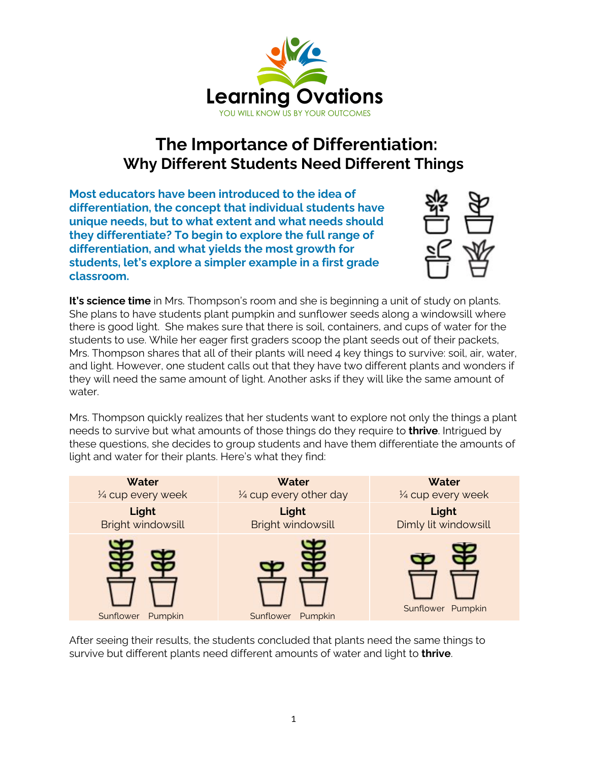

## **The Importance of Differentiation: Why Different Students Need Different Things**

**Most educators have been introduced to the idea of differentiation, the concept that individual students have unique needs, but to what extent and what needs should they differentiate? To begin to explore the full range of differentiation, and what yields the most growth for students, let's explore a simpler example in a first grade classroom.**



**It's science time** in Mrs. Thompson's room and she is beginning a unit of study on plants. She plans to have students plant pumpkin and sunflower seeds along a windowsill where there is good light. She makes sure that there is soil, containers, and cups of water for the students to use. While her eager first graders scoop the plant seeds out of their packets, Mrs. Thompson shares that all of their plants will need 4 key things to survive: soil, air, water, and light. However, one student calls out that they have two different plants and wonders if they will need the same amount of light. Another asks if they will like the same amount of water.

Mrs. Thompson quickly realizes that her students want to explore not only the things a plant needs to survive but what amounts of those things do they require to **thrive**. Intrigued by these questions, she decides to group students and have them differentiate the amounts of light and water for their plants. Here's what they find:

| Water                | Water                             | Water                |
|----------------------|-----------------------------------|----------------------|
| 1/4 cup every week   | $\frac{1}{4}$ cup every other day | 1/4 cup every week   |
| Light                | Light                             | Light                |
| Bright windowsill    | <b>Bright windowsill</b>          | Dimly lit windowsill |
| Sunflower<br>Pumpkin | Sunflower<br>Pumpkin              | Sunflower Pumpkin    |

After seeing their results, the students concluded that plants need the same things to survive but different plants need different amounts of water and light to **thrive**.